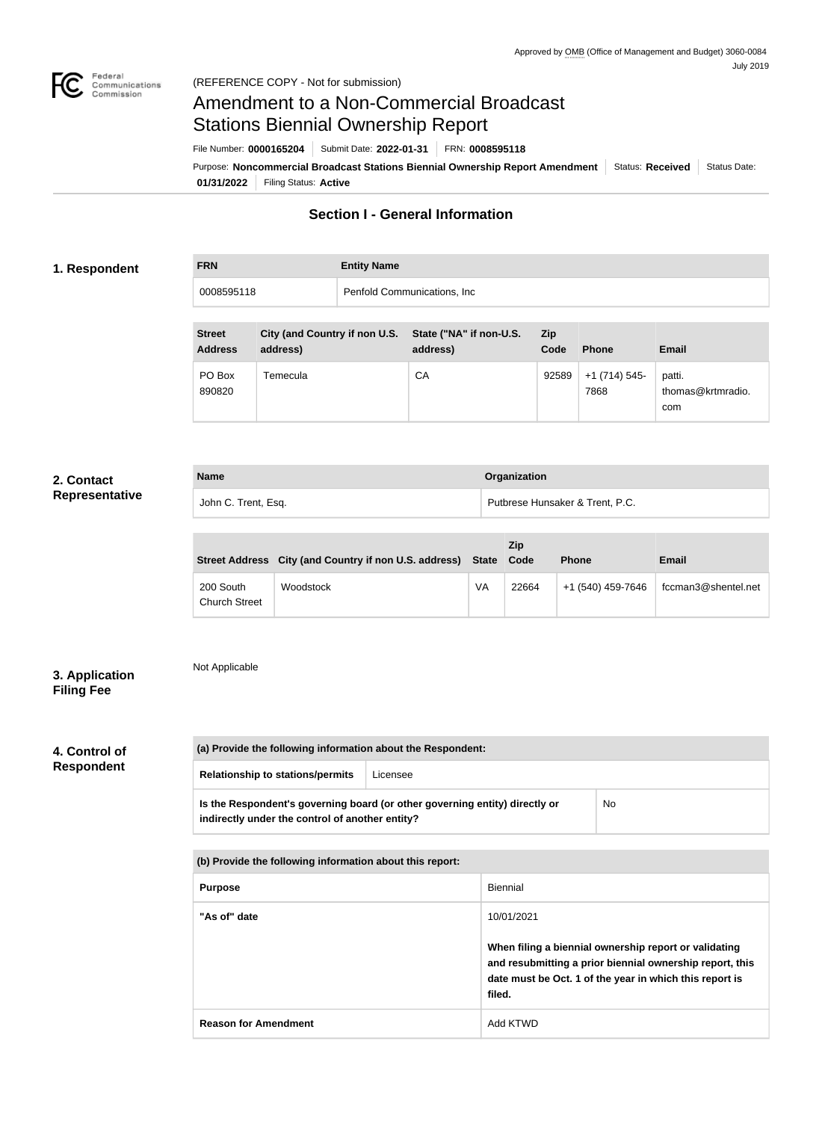

# Amendment to a Non-Commercial Broadcast Stations Biennial Ownership Report

Purpose: Noncommercial Broadcast Stations Biennial Ownership Report Amendment Status: Received Status Date: File Number: **0000165204** Submit Date: **2022-01-31** FRN: **0008595118**

**01/31/2022** Filing Status: **Active**

**Section I - General Information**

#### **1. Respondent**

| <b>FRN</b> | <b>Entity Name</b>           |  |
|------------|------------------------------|--|
| 0008595118 | Penfold Communications, Inc. |  |
|            |                              |  |

| <b>Street</b><br><b>Address</b> | City (and Country if non U.S.<br>address) | State ("NA" if non-U.S.<br>address) | <b>Zip</b><br>Code | <b>Phone</b>         | Email                              |
|---------------------------------|-------------------------------------------|-------------------------------------|--------------------|----------------------|------------------------------------|
| PO Box<br>890820                | Temecula                                  | СA                                  | 92589              | $+1(714)545$<br>7868 | patti.<br>thomas@krtmradio.<br>com |

## **2. Contact Representative**

| <b>Name</b>         | Organization                    |
|---------------------|---------------------------------|
| John C. Trent, Esq. | Putbrese Hunsaker & Trent, P.C. |

|                                   | Street Address City (and Country if non U.S. address) State Code |    | <b>Zip</b> | <b>Phone</b>      | Email               |
|-----------------------------------|------------------------------------------------------------------|----|------------|-------------------|---------------------|
| 200 South<br><b>Church Street</b> | Woodstock                                                        | VA | 22664      | +1 (540) 459-7646 | fccman3@shentel.net |

## **3. Application Filing Fee**

Not Applicable

# **4. Control of Respondent**

|  | (a) Provide the following information about the Respondent:                                                                    |          |    |  |
|--|--------------------------------------------------------------------------------------------------------------------------------|----------|----|--|
|  | <b>Relationship to stations/permits</b>                                                                                        | Licensee |    |  |
|  | Is the Respondent's governing board (or other governing entity) directly or<br>indirectly under the control of another entity? |          | No |  |

**(b) Provide the following information about this report:** Purpose **Biennial "As of" date** 10/01/2021 **When filing a biennial ownership report or validating and resubmitting a prior biennial ownership report, this date must be Oct. 1 of the year in which this report is filed. Reason for Amendment** Add KTWD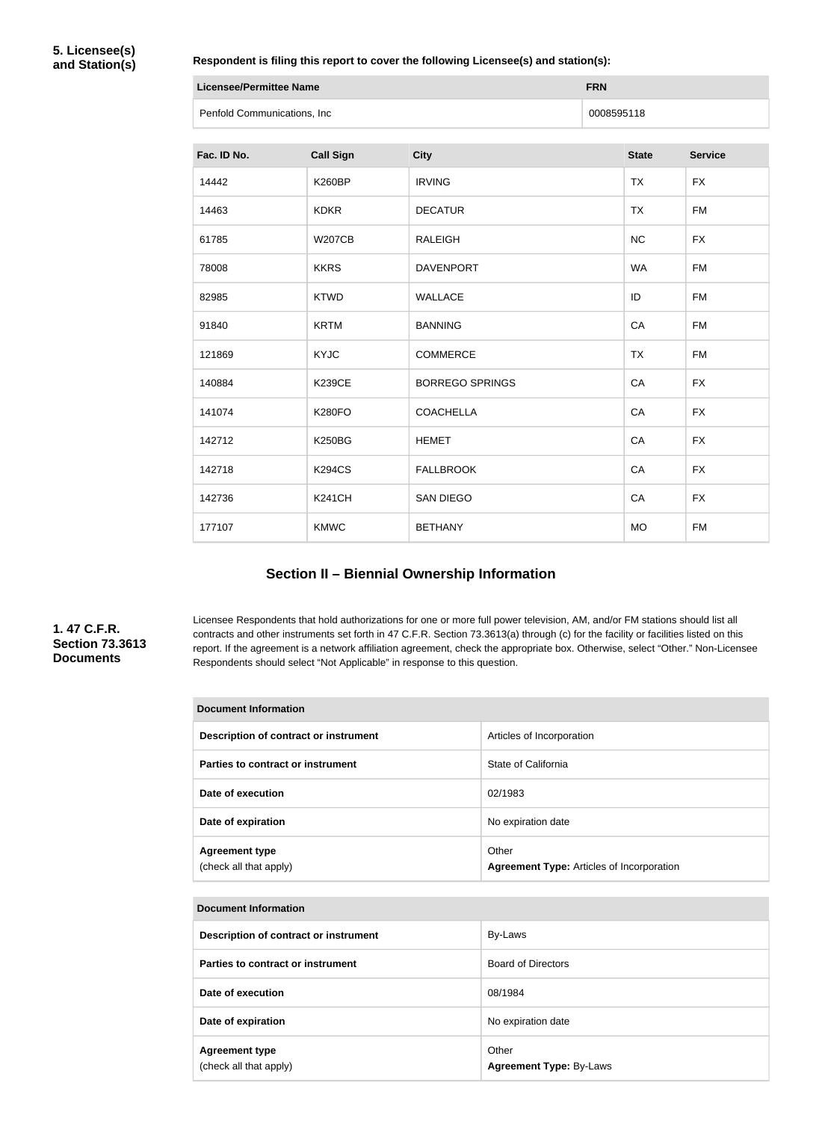**Respondent is filing this report to cover the following Licensee(s) and station(s):**

| <b>Licensee/Permittee Name</b> | <b>FRN</b> |
|--------------------------------|------------|
| Penfold Communications, Inc    | 0008595118 |

| Fac. ID No. | <b>Call Sign</b> | <b>City</b>            | <b>State</b> | <b>Service</b> |
|-------------|------------------|------------------------|--------------|----------------|
| 14442       | <b>K260BP</b>    | <b>IRVING</b>          | <b>TX</b>    | <b>FX</b>      |
| 14463       | <b>KDKR</b>      | <b>DECATUR</b>         | <b>TX</b>    | <b>FM</b>      |
| 61785       | <b>W207CB</b>    | <b>RALEIGH</b>         | <b>NC</b>    | <b>FX</b>      |
| 78008       | <b>KKRS</b>      | <b>DAVENPORT</b>       | <b>WA</b>    | <b>FM</b>      |
| 82985       | <b>KTWD</b>      | <b>WALLACE</b>         | ID           | <b>FM</b>      |
| 91840       | <b>KRTM</b>      | <b>BANNING</b>         | CA           | <b>FM</b>      |
| 121869      | <b>KYJC</b>      | <b>COMMERCE</b>        | <b>TX</b>    | <b>FM</b>      |
| 140884      | <b>K239CE</b>    | <b>BORREGO SPRINGS</b> | CA           | <b>FX</b>      |
| 141074      | <b>K280FO</b>    | <b>COACHELLA</b>       | CA           | <b>FX</b>      |
| 142712      | <b>K250BG</b>    | <b>HEMET</b>           | CA           | <b>FX</b>      |
| 142718      | <b>K294CS</b>    | <b>FALLBROOK</b>       | CA           | <b>FX</b>      |
| 142736      | <b>K241CH</b>    | <b>SAN DIEGO</b>       | CA           | <b>FX</b>      |
| 177107      | <b>KMWC</b>      | <b>BETHANY</b>         | <b>MO</b>    | <b>FM</b>      |

# **Section II – Biennial Ownership Information**

#### **1. 47 C.F.R. Section 73.3613 Documents**

Licensee Respondents that hold authorizations for one or more full power television, AM, and/or FM stations should list all contracts and other instruments set forth in 47 C.F.R. Section 73.3613(a) through (c) for the facility or facilities listed on this report. If the agreement is a network affiliation agreement, check the appropriate box. Otherwise, select "Other." Non-Licensee Respondents should select "Not Applicable" in response to this question.

| <b>Document Information</b>                     |                                                           |  |  |
|-------------------------------------------------|-----------------------------------------------------------|--|--|
| Description of contract or instrument           | Articles of Incorporation                                 |  |  |
| Parties to contract or instrument               | State of California                                       |  |  |
| Date of execution                               | 02/1983                                                   |  |  |
| Date of expiration                              | No expiration date                                        |  |  |
| <b>Agreement type</b><br>(check all that apply) | Other<br><b>Agreement Type: Articles of Incorporation</b> |  |  |

| <b>Document Information</b>                     |                                         |  |  |
|-------------------------------------------------|-----------------------------------------|--|--|
| Description of contract or instrument           | By-Laws                                 |  |  |
| Parties to contract or instrument               | <b>Board of Directors</b>               |  |  |
| Date of execution                               | 08/1984                                 |  |  |
| Date of expiration                              | No expiration date                      |  |  |
| <b>Agreement type</b><br>(check all that apply) | Other<br><b>Agreement Type: By-Laws</b> |  |  |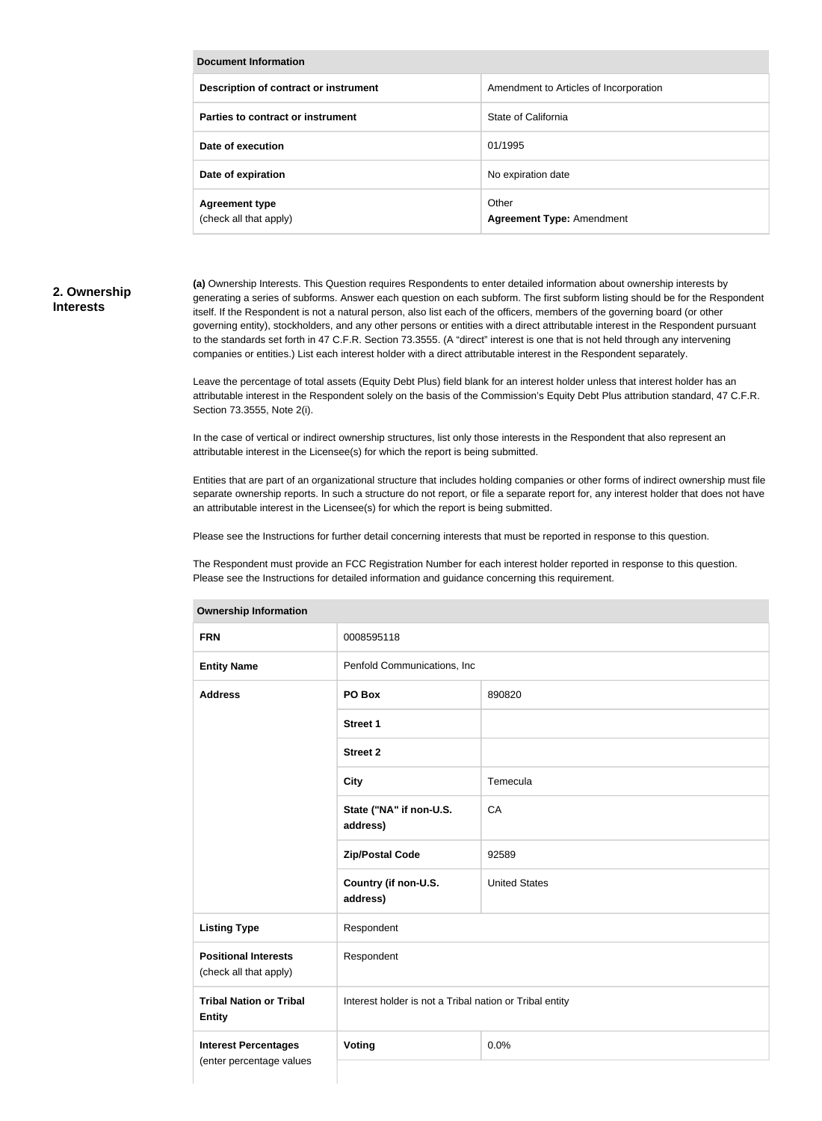| Document Information                            |                                           |  |  |
|-------------------------------------------------|-------------------------------------------|--|--|
| Description of contract or instrument           | Amendment to Articles of Incorporation    |  |  |
| Parties to contract or instrument               | State of California                       |  |  |
| Date of execution                               | 01/1995                                   |  |  |
| Date of expiration                              | No expiration date                        |  |  |
| <b>Agreement type</b><br>(check all that apply) | Other<br><b>Agreement Type: Amendment</b> |  |  |

#### **2. Ownership Interests**

**(a)** Ownership Interests. This Question requires Respondents to enter detailed information about ownership interests by generating a series of subforms. Answer each question on each subform. The first subform listing should be for the Respondent itself. If the Respondent is not a natural person, also list each of the officers, members of the governing board (or other governing entity), stockholders, and any other persons or entities with a direct attributable interest in the Respondent pursuant to the standards set forth in 47 C.F.R. Section 73.3555. (A "direct" interest is one that is not held through any intervening companies or entities.) List each interest holder with a direct attributable interest in the Respondent separately.

Leave the percentage of total assets (Equity Debt Plus) field blank for an interest holder unless that interest holder has an attributable interest in the Respondent solely on the basis of the Commission's Equity Debt Plus attribution standard, 47 C.F.R. Section 73.3555, Note 2(i).

In the case of vertical or indirect ownership structures, list only those interests in the Respondent that also represent an attributable interest in the Licensee(s) for which the report is being submitted.

Entities that are part of an organizational structure that includes holding companies or other forms of indirect ownership must file separate ownership reports. In such a structure do not report, or file a separate report for, any interest holder that does not have an attributable interest in the Licensee(s) for which the report is being submitted.

Please see the Instructions for further detail concerning interests that must be reported in response to this question.

The Respondent must provide an FCC Registration Number for each interest holder reported in response to this question. Please see the Instructions for detailed information and guidance concerning this requirement.

| <b>Ownership Information</b>                          |                                                         |                      |  |
|-------------------------------------------------------|---------------------------------------------------------|----------------------|--|
| <b>FRN</b>                                            | 0008595118                                              |                      |  |
| <b>Entity Name</b>                                    | Penfold Communications, Inc                             |                      |  |
| <b>Address</b>                                        | PO Box                                                  | 890820               |  |
|                                                       | <b>Street 1</b>                                         |                      |  |
|                                                       | <b>Street 2</b>                                         |                      |  |
|                                                       | <b>City</b>                                             | Temecula             |  |
|                                                       | State ("NA" if non-U.S.<br>address)                     | CA                   |  |
|                                                       | <b>Zip/Postal Code</b>                                  | 92589                |  |
|                                                       | Country (if non-U.S.<br>address)                        | <b>United States</b> |  |
| <b>Listing Type</b>                                   | Respondent                                              |                      |  |
| <b>Positional Interests</b><br>(check all that apply) | Respondent                                              |                      |  |
| <b>Tribal Nation or Tribal</b><br><b>Entity</b>       | Interest holder is not a Tribal nation or Tribal entity |                      |  |
| <b>Interest Percentages</b>                           | Voting                                                  | 0.0%                 |  |
| (enter percentage values                              |                                                         |                      |  |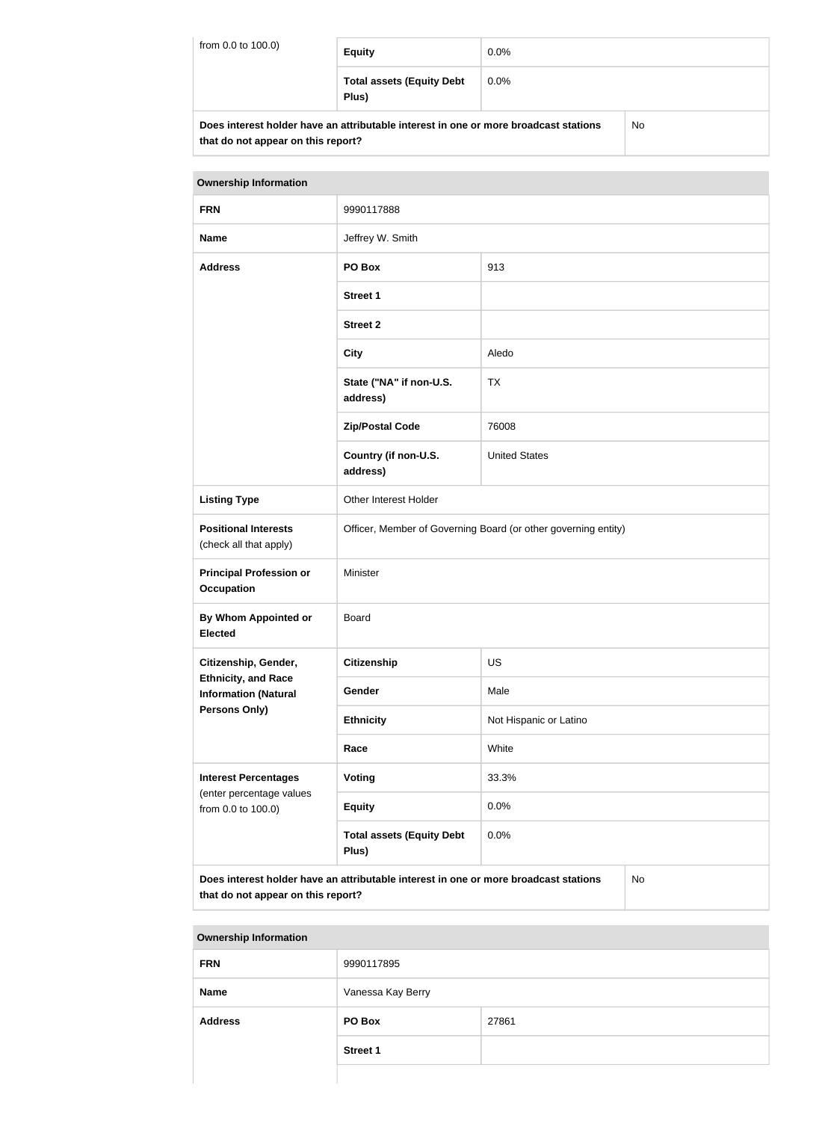| from 0.0 to 100.0) | <b>Equity</b>                                                                        | $0.0\%$ |    |
|--------------------|--------------------------------------------------------------------------------------|---------|----|
|                    | <b>Total assets (Equity Debt</b><br>Plus)                                            | $0.0\%$ |    |
|                    | Does interest holder have an attributable interest in one or more broadcast stations |         | No |

| Does interest holder have an attributable interest in one or more broadcast stations |  |
|--------------------------------------------------------------------------------------|--|
| that do not appear on this report?                                                   |  |

| <b>Ownership Information</b>                                                                                                            |                                                                |                        |  |  |
|-----------------------------------------------------------------------------------------------------------------------------------------|----------------------------------------------------------------|------------------------|--|--|
| <b>FRN</b>                                                                                                                              | 9990117888                                                     |                        |  |  |
| <b>Name</b>                                                                                                                             | Jeffrey W. Smith                                               |                        |  |  |
| <b>Address</b>                                                                                                                          | PO Box                                                         | 913                    |  |  |
|                                                                                                                                         | <b>Street 1</b>                                                |                        |  |  |
|                                                                                                                                         | <b>Street 2</b>                                                |                        |  |  |
|                                                                                                                                         | <b>City</b>                                                    | Aledo                  |  |  |
|                                                                                                                                         | State ("NA" if non-U.S.<br>address)                            | <b>TX</b>              |  |  |
|                                                                                                                                         | <b>Zip/Postal Code</b>                                         | 76008                  |  |  |
|                                                                                                                                         | Country (if non-U.S.<br>address)                               | <b>United States</b>   |  |  |
| <b>Listing Type</b>                                                                                                                     | Other Interest Holder                                          |                        |  |  |
| <b>Positional Interests</b><br>(check all that apply)                                                                                   | Officer, Member of Governing Board (or other governing entity) |                        |  |  |
| <b>Principal Profession or</b><br><b>Occupation</b>                                                                                     | Minister                                                       |                        |  |  |
| <b>By Whom Appointed or</b><br><b>Elected</b>                                                                                           | <b>Board</b>                                                   |                        |  |  |
| Citizenship, Gender,                                                                                                                    | <b>Citizenship</b>                                             | <b>US</b>              |  |  |
| <b>Ethnicity, and Race</b><br><b>Information (Natural</b>                                                                               | Gender                                                         | Male                   |  |  |
| <b>Persons Only)</b>                                                                                                                    | <b>Ethnicity</b>                                               | Not Hispanic or Latino |  |  |
|                                                                                                                                         | Race                                                           | White                  |  |  |
| <b>Interest Percentages</b>                                                                                                             | Voting                                                         | 33.3%                  |  |  |
| (enter percentage values<br>from 0.0 to 100.0)                                                                                          | <b>Equity</b>                                                  | 0.0%                   |  |  |
|                                                                                                                                         | <b>Total assets (Equity Debt</b><br>Plus)                      | 0.0%                   |  |  |
| Does interest holder have an attributable interest in one or more broadcast stations<br><b>No</b><br>that do not appear on this report? |                                                                |                        |  |  |

| <b>Ownership Information</b> |                   |       |  |
|------------------------------|-------------------|-------|--|
| <b>FRN</b>                   | 9990117895        |       |  |
| <b>Name</b>                  | Vanessa Kay Berry |       |  |
| <b>Address</b>               | PO Box            | 27861 |  |
|                              | <b>Street 1</b>   |       |  |
|                              |                   |       |  |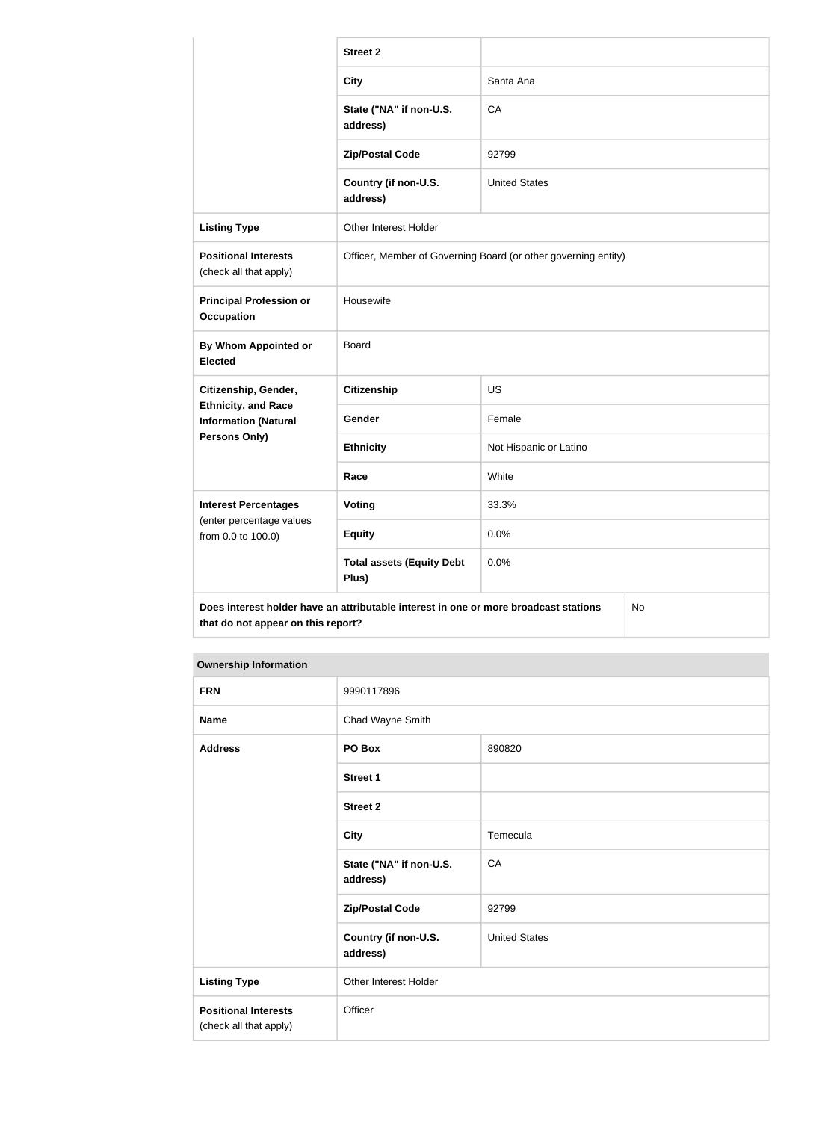|                                                                                                                                  | <b>Street 2</b>                                                |                        |  |
|----------------------------------------------------------------------------------------------------------------------------------|----------------------------------------------------------------|------------------------|--|
|                                                                                                                                  | <b>City</b>                                                    | Santa Ana              |  |
|                                                                                                                                  | State ("NA" if non-U.S.<br>address)                            | CA                     |  |
|                                                                                                                                  | <b>Zip/Postal Code</b>                                         | 92799                  |  |
|                                                                                                                                  | Country (if non-U.S.<br>address)                               | <b>United States</b>   |  |
| <b>Listing Type</b>                                                                                                              | Other Interest Holder                                          |                        |  |
| <b>Positional Interests</b><br>(check all that apply)                                                                            | Officer, Member of Governing Board (or other governing entity) |                        |  |
| <b>Principal Profession or</b><br><b>Occupation</b>                                                                              | Housewife                                                      |                        |  |
| By Whom Appointed or<br><b>Elected</b>                                                                                           | <b>Board</b>                                                   |                        |  |
| Citizenship, Gender,                                                                                                             | <b>Citizenship</b>                                             | <b>US</b>              |  |
| <b>Ethnicity, and Race</b><br><b>Information (Natural</b>                                                                        | Gender                                                         | Female                 |  |
| Persons Only)                                                                                                                    | <b>Ethnicity</b>                                               | Not Hispanic or Latino |  |
|                                                                                                                                  | Race                                                           | White                  |  |
| <b>Interest Percentages</b>                                                                                                      | Voting                                                         | 33.3%                  |  |
| (enter percentage values<br>from 0.0 to 100.0)                                                                                   | <b>Equity</b>                                                  | 0.0%                   |  |
|                                                                                                                                  | <b>Total assets (Equity Debt</b><br>Plus)                      | 0.0%                   |  |
| Does interest holder have an attributable interest in one or more broadcast stations<br>No<br>that do not appear on this report? |                                                                |                        |  |

#### **Ownership Information**

| <b>FRN</b>                                            | 9990117896                          |                      |
|-------------------------------------------------------|-------------------------------------|----------------------|
| <b>Name</b>                                           | Chad Wayne Smith                    |                      |
| <b>Address</b>                                        | PO Box                              | 890820               |
|                                                       | Street 1                            |                      |
|                                                       | Street 2                            |                      |
|                                                       | <b>City</b>                         | Temecula             |
|                                                       | State ("NA" if non-U.S.<br>address) | CA                   |
|                                                       | <b>Zip/Postal Code</b>              | 92799                |
|                                                       | Country (if non-U.S.<br>address)    | <b>United States</b> |
| <b>Listing Type</b>                                   | Other Interest Holder               |                      |
| <b>Positional Interests</b><br>(check all that apply) | Officer                             |                      |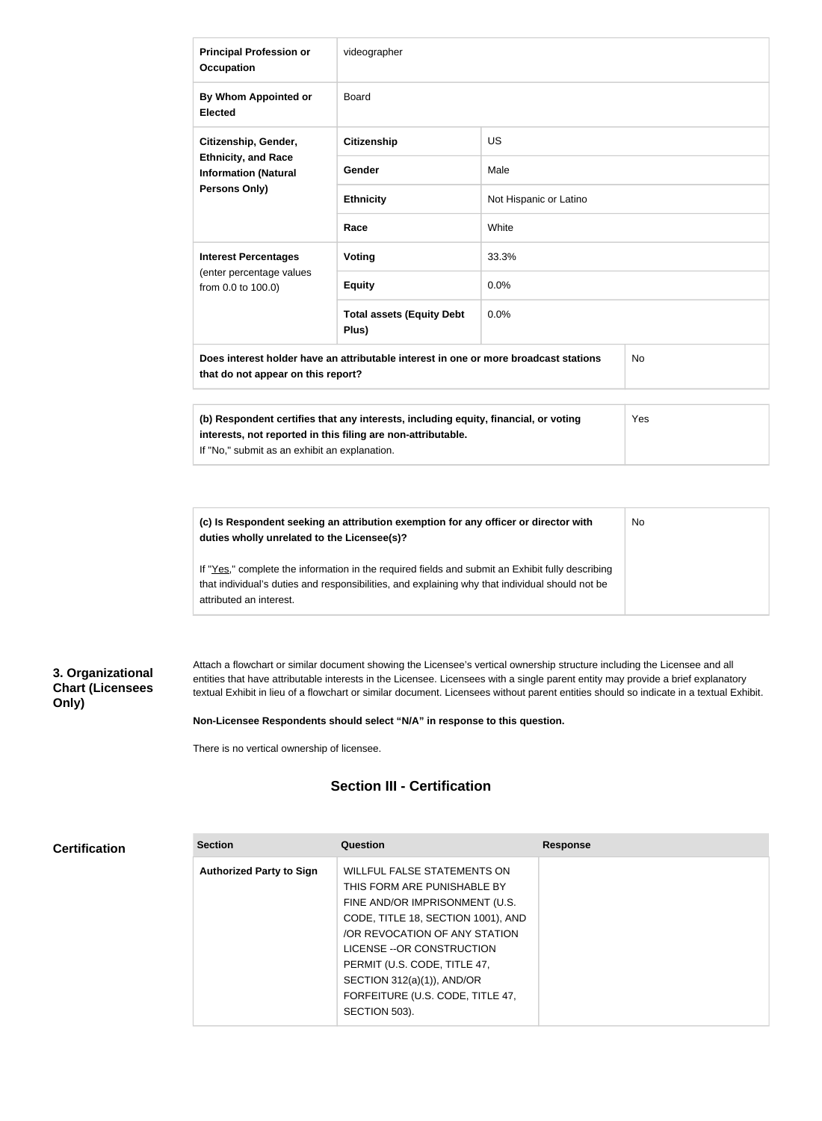| <b>Principal Profession or</b><br><b>Occupation</b>                                                                              | videographer                                                                                                                                        |                        |     |
|----------------------------------------------------------------------------------------------------------------------------------|-----------------------------------------------------------------------------------------------------------------------------------------------------|------------------------|-----|
| By Whom Appointed or<br><b>Elected</b>                                                                                           | <b>Board</b>                                                                                                                                        |                        |     |
| Citizenship, Gender,<br><b>Ethnicity, and Race</b><br><b>Information (Natural</b><br>Persons Only)                               | <b>Citizenship</b>                                                                                                                                  | <b>US</b>              |     |
|                                                                                                                                  | Gender                                                                                                                                              | Male                   |     |
|                                                                                                                                  | <b>Ethnicity</b>                                                                                                                                    | Not Hispanic or Latino |     |
|                                                                                                                                  | Race                                                                                                                                                | White                  |     |
| <b>Interest Percentages</b><br>(enter percentage values<br>from 0.0 to 100.0)                                                    | Voting                                                                                                                                              | 33.3%                  |     |
|                                                                                                                                  | <b>Equity</b>                                                                                                                                       | 0.0%                   |     |
|                                                                                                                                  | <b>Total assets (Equity Debt</b><br>Plus)                                                                                                           | 0.0%                   |     |
| Does interest holder have an attributable interest in one or more broadcast stations<br>No<br>that do not appear on this report? |                                                                                                                                                     |                        |     |
|                                                                                                                                  |                                                                                                                                                     |                        |     |
| If "No," submit as an exhibit an explanation.                                                                                    | (b) Respondent certifies that any interests, including equity, financial, or voting<br>interests, not reported in this filing are non-attributable. |                        | Yes |

**(c) Is Respondent seeking an attribution exemption for any officer or director with duties wholly unrelated to the Licensee(s)?** If "Yes," complete the information in the required fields and submit an Exhibit fully describing No

that individual's duties and responsibilities, and explaining why that individual should not be attributed an interest.

#### **3. Organizational Chart (Licensees Only)**

**Certification**

Attach a flowchart or similar document showing the Licensee's vertical ownership structure including the Licensee and all entities that have attributable interests in the Licensee. Licensees with a single parent entity may provide a brief explanatory textual Exhibit in lieu of a flowchart or similar document. Licensees without parent entities should so indicate in a textual Exhibit.

#### **Non-Licensee Respondents should select "N/A" in response to this question.**

There is no vertical ownership of licensee.

## **Section III - Certification**

| <b>Section</b>                  | Question                           | <b>Response</b> |
|---------------------------------|------------------------------------|-----------------|
| <b>Authorized Party to Sign</b> | WILLFUL FALSE STATEMENTS ON        |                 |
|                                 | THIS FORM ARE PUNISHABLE BY        |                 |
|                                 | FINE AND/OR IMPRISONMENT (U.S.     |                 |
|                                 | CODE, TITLE 18, SECTION 1001), AND |                 |
|                                 | OR REVOCATION OF ANY STATION       |                 |
|                                 | LICENSE -- OR CONSTRUCTION         |                 |
|                                 | PERMIT (U.S. CODE, TITLE 47,       |                 |
|                                 | SECTION 312(a)(1)), AND/OR         |                 |
|                                 | FORFEITURE (U.S. CODE, TITLE 47,   |                 |
|                                 | SECTION 503).                      |                 |
|                                 |                                    |                 |